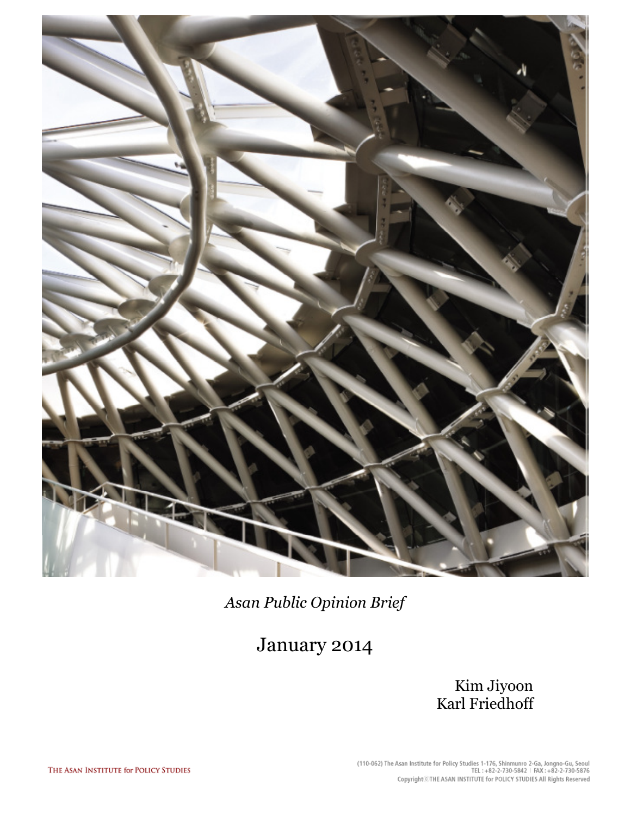

Asan Public Opinion Brief

January 2014

Kim Jiyoon Karl Friedhoff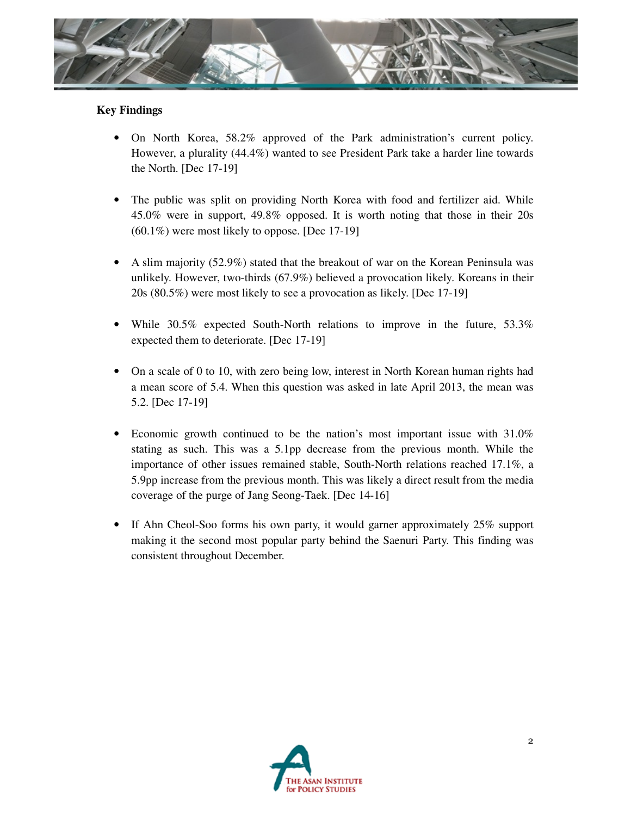

## **Key Findings**

- On North Korea, 58.2% approved of the Park administration's current policy. However, a plurality (44.4%) wanted to see President Park take a harder line towards the North. [Dec 17-19]
- The public was split on providing North Korea with food and fertilizer aid. While 45.0% were in support, 49.8% opposed. It is worth noting that those in their 20s (60.1%) were most likely to oppose. [Dec 17-19]
- A slim majority (52.9%) stated that the breakout of war on the Korean Peninsula was unlikely. However, two-thirds (67.9%) believed a provocation likely. Koreans in their 20s (80.5%) were most likely to see a provocation as likely. [Dec 17-19]
- While 30.5% expected South-North relations to improve in the future, 53.3% expected them to deteriorate. [Dec 17-19]
- On a scale of 0 to 10, with zero being low, interest in North Korean human rights had a mean score of 5.4. When this question was asked in late April 2013, the mean was 5.2. [Dec 17-19]
- Economic growth continued to be the nation's most important issue with 31.0% stating as such. This was a 5.1pp decrease from the previous month. While the importance of other issues remained stable, South-North relations reached 17.1%, a 5.9pp increase from the previous month. This was likely a direct result from the media coverage of the purge of Jang Seong-Taek. [Dec 14-16]
- If Ahn Cheol-Soo forms his own party, it would garner approximately 25% support making it the second most popular party behind the Saenuri Party. This finding was consistent throughout December.

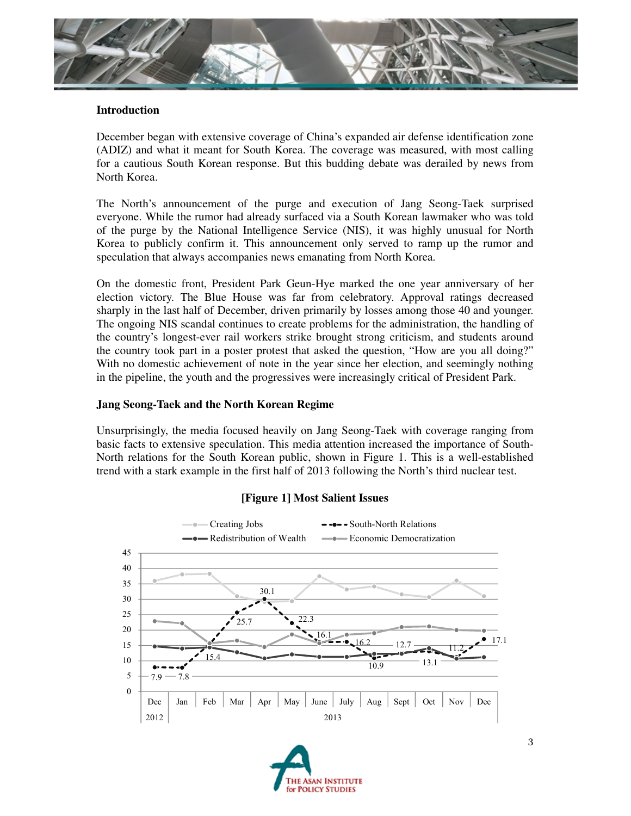

#### **Introduction**

December began with extensive coverage of China's expanded air defense identification zone (ADIZ) and what it meant for South Korea. The coverage was measured, with most calling for a cautious South Korean response. But this budding debate was derailed by news from North Korea.

The North's announcement of the purge and execution of Jang Seong-Taek surprised everyone. While the rumor had already surfaced via a South Korean lawmaker who was told of the purge by the National Intelligence Service (NIS), it was highly unusual for North Korea to publicly confirm it. This announcement only served to ramp up the rumor and speculation that always accompanies news emanating from North Korea.

On the domestic front, President Park Geun-Hye marked the one year anniversary of her election victory. The Blue House was far from celebratory. Approval ratings decreased sharply in the last half of December, driven primarily by losses among those 40 and younger. The ongoing NIS scandal continues to create problems for the administration, the handling of the country's longest-ever rail workers strike brought strong criticism, and students around the country took part in a poster protest that asked the question, "How are you all doing?" With no domestic achievement of note in the year since her election, and seemingly nothing in the pipeline, the youth and the progressives were increasingly critical of President Park.

### **Jang Seong-Taek and the North Korean Regime**

Unsurprisingly, the media focused heavily on Jang Seong-Taek with coverage ranging from basic facts to extensive speculation. This media attention increased the importance of South-North relations for the South Korean public, shown in Figure 1. This is a well-established trend with a stark example in the first half of 2013 following the North's third nuclear test.



## **[Figure 1] Most Salient Issues**

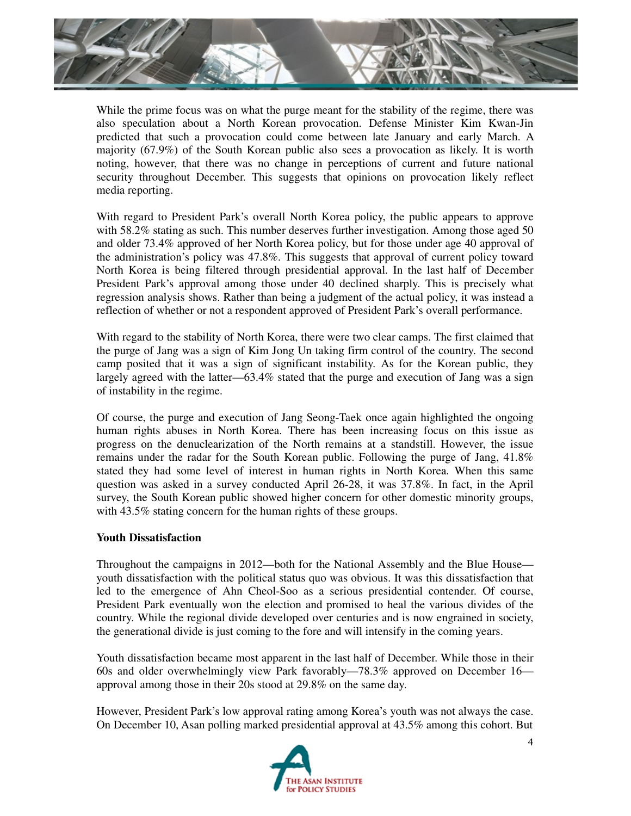

While the prime focus was on what the purge meant for the stability of the regime, there was also speculation about a North Korean provocation. Defense Minister Kim Kwan-Jin predicted that such a provocation could come between late January and early March. A majority (67.9%) of the South Korean public also sees a provocation as likely. It is worth noting, however, that there was no change in perceptions of current and future national security throughout December. This suggests that opinions on provocation likely reflect media reporting.

With regard to President Park's overall North Korea policy, the public appears to approve with 58.2% stating as such. This number deserves further investigation. Among those aged 50 and older 73.4% approved of her North Korea policy, but for those under age 40 approval of the administration's policy was 47.8%. This suggests that approval of current policy toward North Korea is being filtered through presidential approval. In the last half of December President Park's approval among those under 40 declined sharply. This is precisely what regression analysis shows. Rather than being a judgment of the actual policy, it was instead a reflection of whether or not a respondent approved of President Park's overall performance.

With regard to the stability of North Korea, there were two clear camps. The first claimed that the purge of Jang was a sign of Kim Jong Un taking firm control of the country. The second camp posited that it was a sign of significant instability. As for the Korean public, they largely agreed with the latter—63.4% stated that the purge and execution of Jang was a sign of instability in the regime.

Of course, the purge and execution of Jang Seong-Taek once again highlighted the ongoing human rights abuses in North Korea. There has been increasing focus on this issue as progress on the denuclearization of the North remains at a standstill. However, the issue remains under the radar for the South Korean public. Following the purge of Jang, 41.8% stated they had some level of interest in human rights in North Korea. When this same question was asked in a survey conducted April 26-28, it was 37.8%. In fact, in the April survey, the South Korean public showed higher concern for other domestic minority groups, with 43.5% stating concern for the human rights of these groups.

#### **Youth Dissatisfaction**

Throughout the campaigns in 2012—both for the National Assembly and the Blue House youth dissatisfaction with the political status quo was obvious. It was this dissatisfaction that led to the emergence of Ahn Cheol-Soo as a serious presidential contender. Of course, President Park eventually won the election and promised to heal the various divides of the country. While the regional divide developed over centuries and is now engrained in society, the generational divide is just coming to the fore and will intensify in the coming years.

Youth dissatisfaction became most apparent in the last half of December. While those in their 60s and older overwhelmingly view Park favorably—78.3% approved on December 16 approval among those in their 20s stood at 29.8% on the same day.

However, President Park's low approval rating among Korea's youth was not always the case. On December 10, Asan polling marked presidential approval at 43.5% among this cohort. But

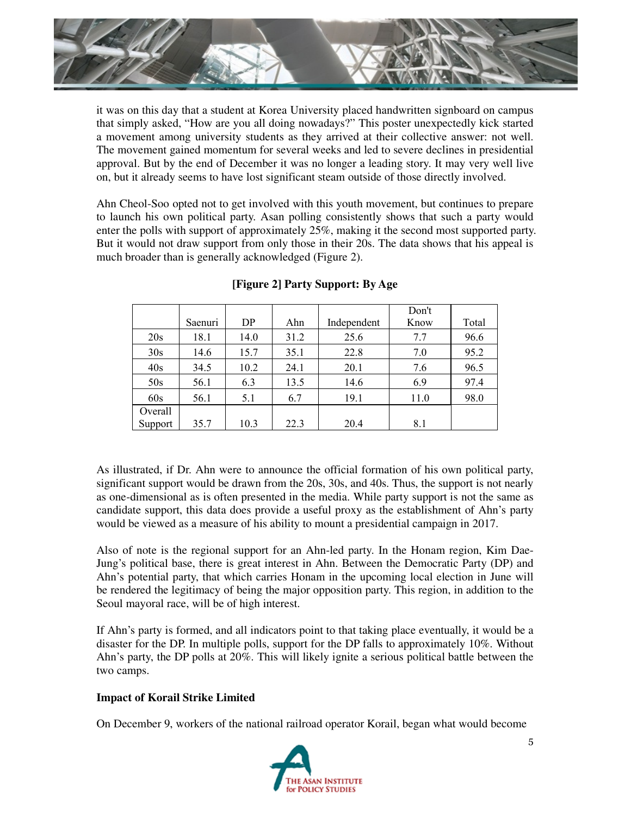

it was on this day that a student at Korea University placed handwritten signboard on campus that simply asked, "How are you all doing nowadays?" This poster unexpectedly kick started a movement among university students as they arrived at their collective answer: not well. The movement gained momentum for several weeks and led to severe declines in presidential approval. But by the end of December it was no longer a leading story. It may very well live on, but it already seems to have lost significant steam outside of those directly involved.

Ahn Cheol-Soo opted not to get involved with this youth movement, but continues to prepare to launch his own political party. Asan polling consistently shows that such a party would enter the polls with support of approximately 25%, making it the second most supported party. But it would not draw support from only those in their 20s. The data shows that his appeal is much broader than is generally acknowledged (Figure 2).

|         |         |      |      |             | Don't |       |
|---------|---------|------|------|-------------|-------|-------|
|         | Saenuri | DP   | Ahn  | Independent | Know  | Total |
| 20s     | 18.1    | 14.0 | 31.2 | 25.6        | 7.7   | 96.6  |
| 30s     | 14.6    | 15.7 | 35.1 | 22.8        | 7.0   | 95.2  |
| 40s     | 34.5    | 10.2 | 24.1 | 20.1        | 7.6   | 96.5  |
| 50s     | 56.1    | 6.3  | 13.5 | 14.6        | 6.9   | 97.4  |
| 60s     | 56.1    | 5.1  | 6.7  | 19.1        | 11.0  | 98.0  |
| Overall |         |      |      |             |       |       |
| Support | 35.7    | 10.3 | 22.3 | 20.4        | 8.1   |       |

# **[Figure 2] Party Support: By Age**

As illustrated, if Dr. Ahn were to announce the official formation of his own political party, significant support would be drawn from the 20s, 30s, and 40s. Thus, the support is not nearly as one-dimensional as is often presented in the media. While party support is not the same as candidate support, this data does provide a useful proxy as the establishment of Ahn's party would be viewed as a measure of his ability to mount a presidential campaign in 2017.

Also of note is the regional support for an Ahn-led party. In the Honam region, Kim Dae-Jung's political base, there is great interest in Ahn. Between the Democratic Party (DP) and Ahn's potential party, that which carries Honam in the upcoming local election in June will be rendered the legitimacy of being the major opposition party. This region, in addition to the Seoul mayoral race, will be of high interest.

If Ahn's party is formed, and all indicators point to that taking place eventually, it would be a disaster for the DP. In multiple polls, support for the DP falls to approximately 10%. Without Ahn's party, the DP polls at 20%. This will likely ignite a serious political battle between the two camps.

# **Impact of Korail Strike Limited**

On December 9, workers of the national railroad operator Korail, began what would become

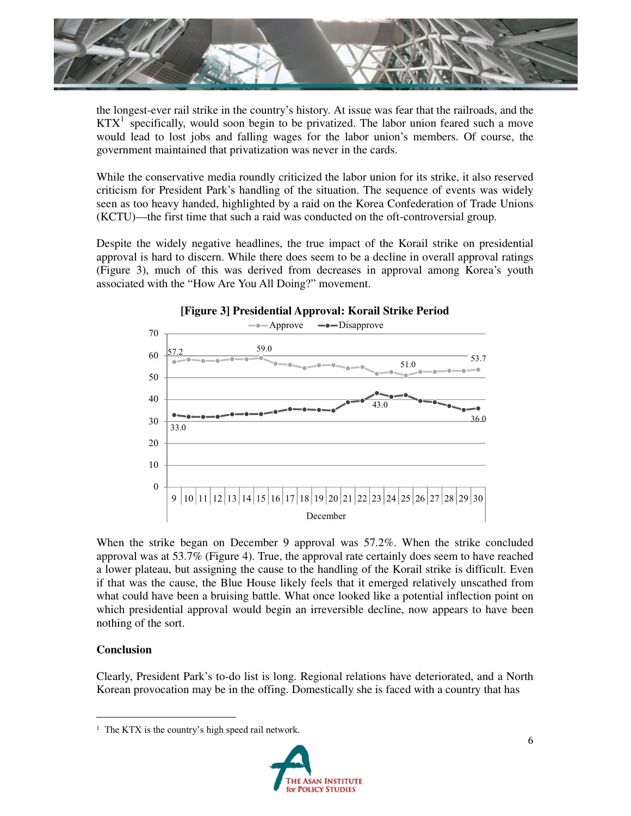

the longest-ever rail strike in the country's history. At issue was fear that the railroads, and the  $KTX<sup>1</sup>$  specifically, would soon begin to be privatized. The labor union feared such a move would lead to lost jobs and falling wages for the labor union's members. Of course, the government maintained that privatization was never in the cards.

While the conservative media roundly criticized the labor union for its strike, it also reserved criticism for President Park's handling of the situation. The sequence of events was widely seen as too heavy handed, highlighted by a raid on the Korea Confederation of Trade Unions (KCTU)—the first time that such a raid was conducted on the oft-controversial group.

Despite the widely negative headlines, the true impact of the Korail strike on presidential approval is hard to discern. While there does seem to be a decline in overall approval ratings (Figure 3), much of this was derived from decreases in approval among Korea's youth associated with the "How Are You All Doing?" movement.



When the strike began on December 9 approval was 57.2%. When the strike concluded approval was at 53.7% (Figure 4). True, the approval rate certainly does seem to have reached a lower plateau, but assigning the cause to the handling of the Korail strike is difficult. Even if that was the cause, the Blue House likely feels that it emerged relatively unscathed from what could have been a bruising battle. What once looked like a potential inflection point on which presidential approval would begin an irreversible decline, now appears to have been nothing of the sort.

#### **Conclusion**

Clearly, President Park's to-do list is long. Regional relations have deteriorated, and a North Korean provocation may be in the offing. Domestically she is faced with a country that has

<u> Alexandria de la contrada de la contrada de la contrada de la contrada de la contrada de la contrada de la c</u>



<sup>&</sup>lt;sup>1</sup> The KTX is the country's high speed rail network.